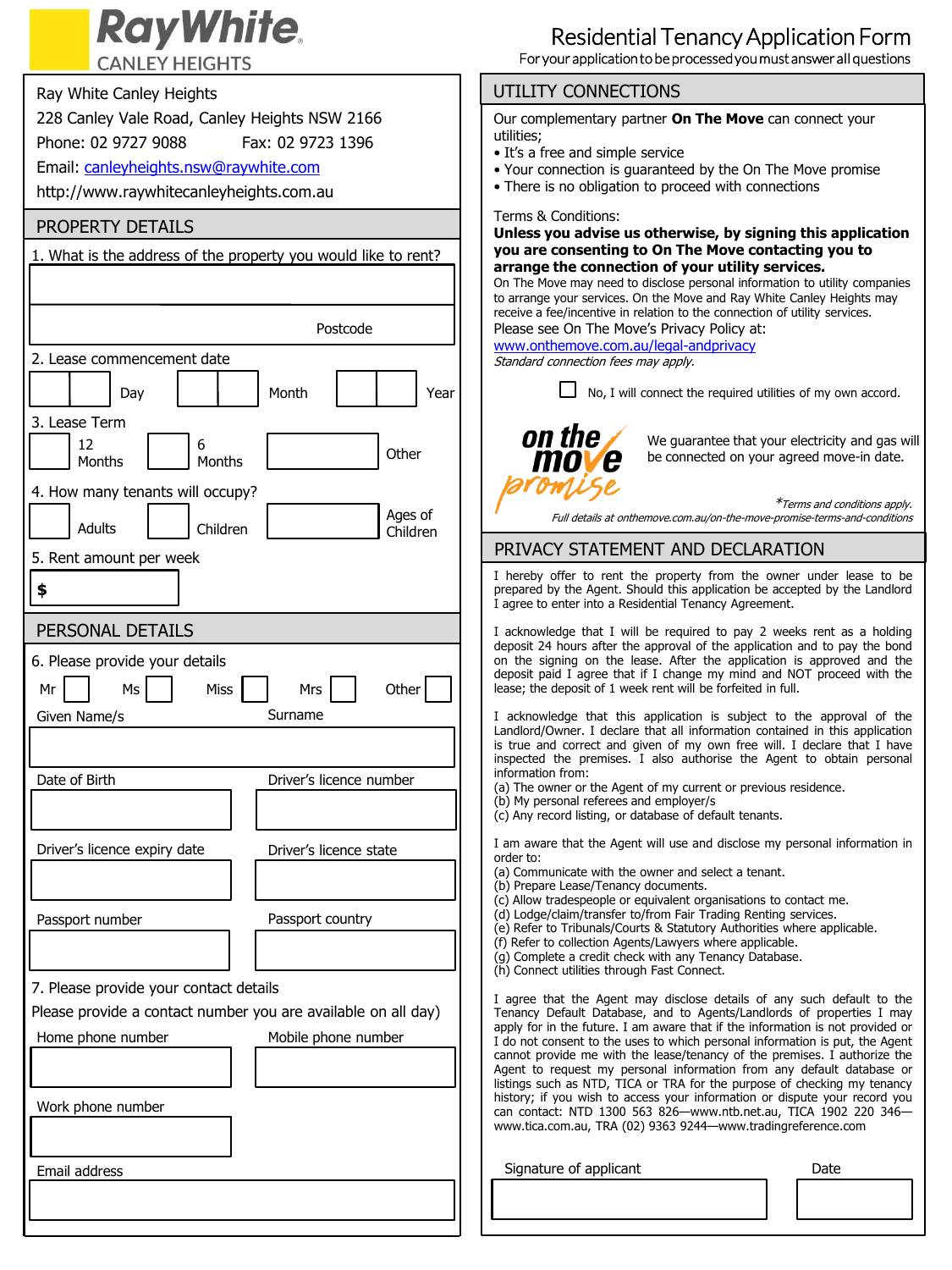# **RayWhite.**

**CANLEY HEIGHTS** 

## Ray White Canley Heights 228 Canley Vale Road, Canley Heights NSW 2166 Phone: 02 9727 9088 Fax: 02 9723 1396 Email: [canleyheights.nsw@raywhite.com](mailto:canleyheights.nsw@raywhite.com) http://www.raywhitecanleyheights.com.au PROPERTY DETAILS 1. What is the address of the property you would like to rent? Postcode 2. Lease commencement date Day | | | Month | | | Year 3. Lease Term <sup>0</sup> 12 **Months** 6 6<br>Months **Discrete Contract Contract Other** 4. How many tenants will occupy? Adults | Children ending of the children children children and the children children children children Mr 6. Please provide your details Ms | | Miss | | Mrs | | Other Given Name/s Surname Date of Birth Driver's licence number Driver's licence expiry date Driver's licence state Passport number Passport country 7. Please provide your contact details Please provide a contact number you are available on all day) Home phone number Mobile phone number Email address Work phone number PERSONAL DETAILS 5. Rent amount per week **\$**

#### UTILITY CONNECTIONS

Our complementary partner **On The Move** can connect your utilities;

- It's a free and simple service
- Your connection is guaranteed by the On The Move promise
- There is no obligation to proceed with connections

Terms & Conditions:

**Unless you advise us otherwise, by signing this application you are consenting to On The Move contacting you to arrange the connection of your utility services.** 

On The Move may need to disclose personal information to utility companies to arrange your services. On the Move and Ray White Canley Heights may receive a fee/incentive in relation to the connection of utility services. Please see On The Move's Privacy Policy at:

[www.onthemove.com.au/legal-andprivacy](http://www.onthemove.com.au/legal-andprivacy)

Standard connection fees may apply.



We guarantee that your electricity and gas will be connected on your agreed move-in date.

\*Terms and conditions apply. Full details at onthemove.com.au/on-the-move-promise-terms-and-conditions

### PRIVACY STATEMENT AND DECLARATION

I hereby offer to rent the property from the owner under lease to be prepared by the Agent. Should this application be accepted by the Landlord I agree to enter into a Residential Tenancy Agreement.

I acknowledge that I will be required to pay 2 weeks rent as a holding deposit 24 hours after the approval of the application and to pay the bond on the signing on the lease. After the application is approved and the deposit paid I agree that if I change my mind and NOT proceed with the lease; the deposit of 1 week rent will be forfeited in full.

I acknowledge that this application is subject to the approval of the Landlord/Owner. I declare that all information contained in this application is true and correct and given of my own free will. I declare that I have inspected the premises. I also authorise the Agent to obtain personal information from:

- (a) The owner or the Agent of my current or previous residence.
- (b) My personal referees and employer/s
- (c) Any record listing, or database of default tenants.

I am aware that the Agent will use and disclose my personal information in order to:

- (a) Communicate with the owner and select a tenant.
- (b) Prepare Lease/Tenancy documents.
- (c) Allow tradespeople or equivalent organisations to contact me.
- (d) Lodge/claim/transfer to/from Fair Trading Renting services.
- (e) Refer to Tribunals/Courts & Statutory Authorities where applicable.
- (f) Refer to collection Agents/Lawyers where applicable.
- (g) Complete a credit check with any Tenancy Database. (h) Connect utilities through Fast Connect.
- 

I agree that the Agent may disclose details of any such default to the Tenancy Default Database, and to Agents/Landlords of properties I may apply for in the future. I am aware that if the information is not provided or I do not consent to the uses to which personal information is put, the Agent cannot provide me with the lease/tenancy of the premises. I authorize the Agent to request my personal information from any default database or listings such as NTD, TICA or TRA for the purpose of checking my tenancy history; if you wish to access your information or dispute your record you can contact: NTD 1300 563 826—www.ntb.net.au, TICA 1902 220 346 www.tica.com.au, TRA (02) <sup>9363</sup> <sup>9244</sup>—www.tradingreference.com 0

Signature of applicant

Date